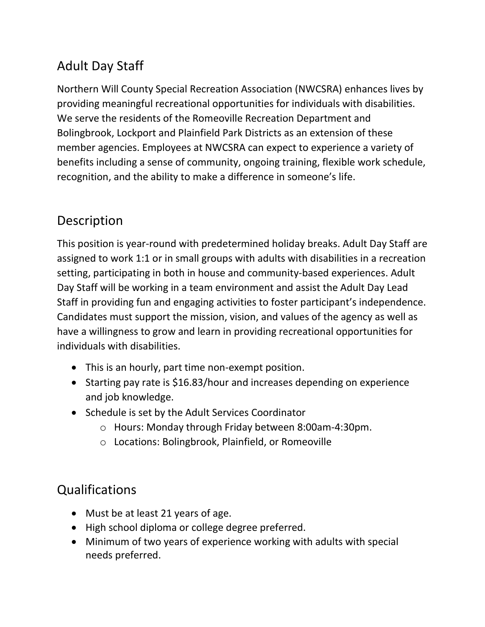## Adult Day Staff

Northern Will County Special Recreation Association (NWCSRA) enhances lives by providing meaningful recreational opportunities for individuals with disabilities. We serve the residents of the Romeoville Recreation Department and Bolingbrook, Lockport and Plainfield Park Districts as an extension of these member agencies. Employees at NWCSRA can expect to experience a variety of benefits including a sense of community, ongoing training, flexible work schedule, recognition, and the ability to make a difference in someone's life.

## Description

This position is year-round with predetermined holiday breaks. Adult Day Staff are assigned to work 1:1 or in small groups with adults with disabilities in a recreation setting, participating in both in house and community-based experiences. Adult Day Staff will be working in a team environment and assist the Adult Day Lead Staff in providing fun and engaging activities to foster participant's independence. Candidates must support the mission, vision, and values of the agency as well as have a willingness to grow and learn in providing recreational opportunities for individuals with disabilities.

- This is an hourly, part time non-exempt position.
- Starting pay rate is \$16.83/hour and increases depending on experience and job knowledge.
- Schedule is set by the Adult Services Coordinator
	- o Hours: Monday through Friday between 8:00am-4:30pm.
	- o Locations: Bolingbrook, Plainfield, or Romeoville

## Qualifications

- Must be at least 21 years of age.
- High school diploma or college degree preferred.
- Minimum of two years of experience working with adults with special needs preferred.